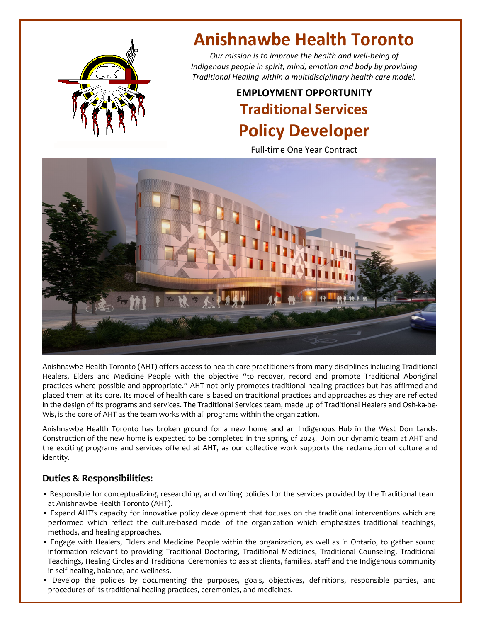

# **Anishnawbe Health Toronto**

*Our mission is to improve the health and well‐being of Indigenous people in spirit, mind, emotion and body by providing Traditional Healing within a multidisciplinary health care model.*

## **EMPLOYMENT OPPORTUNITY Traditional Services Policy Developer**

Full‐time One Year Contract



Anishnawbe Health Toronto (AHT) offers access to health care practitioners from many disciplines including Traditional Healers, Elders and Medicine People with the objective "to recover, record and promote Traditional Aboriginal practices where possible and appropriate." AHT not only promotes traditional healing practices but has affirmed and placed them at its core. Its model of health care is based on traditional practices and approaches as they are reflected in the design of its programs and services. The Traditional Services team, made up of Traditional Healers and Osh-ka-be-Wis, is the core of AHT as the team works with all programs within the organization.

Anishnawbe Health Toronto has broken ground for a new home and an Indigenous Hub in the West Don Lands. Construction of the new home is expected to be completed in the spring of 2023. Join our dynamic team at AHT and the exciting programs and services offered at AHT, as our collective work supports the reclamation of culture and identity.

### **Duties & Responsibilities:**

- Responsible for conceptualizing, researching, and writing policies for the services provided by the Traditional team at Anishnawbe Health Toronto (AHT).
- Expand AHT's capacity for innovative policy development that focuses on the traditional interventions which are performed which reflect the culture‐based model of the organization which emphasizes traditional teachings, methods, and healing approaches.
- Engage with Healers, Elders and Medicine People within the organization, as well as in Ontario, to gather sound information relevant to providing Traditional Doctoring, Traditional Medicines, Traditional Counseling, Traditional Teachings, Healing Circles and Traditional Ceremonies to assist clients, families, staff and the Indigenous community in self-healing, balance, and wellness.
- Develop the policies by documenting the purposes, goals, objectives, definitions, responsible parties, and procedures of its traditional healing practices, ceremonies, and medicines.